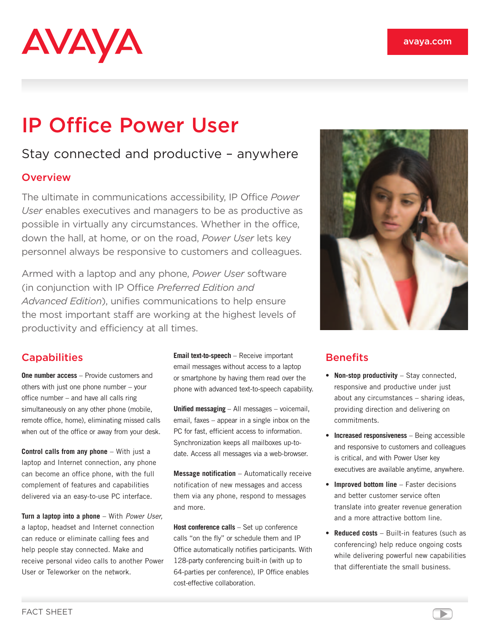# AVAYA

## IP Office Power User

### Stay connected and productive – anywhere

#### **Overview**

The ultimate in communications accessibility, IP Office *Power User* enables executives and managers to be as productive as possible in virtually any circumstances. Whether in the office, down the hall, at home, or on the road, *Power User* lets key personnel always be responsive to customers and colleagues.

Armed with a laptop and any phone, *Power User* software (in conjunction with IP Office *Preferred Edition and Advanced Edition*), unifies communications to help ensure the most important staff are working at the highest levels of productivity and efficiency at all times.

#### **Capabilities**

**One number access** – Provide customers and others with just one phone number – your office number – and have all calls ring simultaneously on any other phone (mobile, remote office, home), eliminating missed calls when out of the office or away from your desk.

**Control calls from any phone** – With just a laptop and Internet connection, any phone can become an office phone, with the full complement of features and capabilities delivered via an easy-to-use PC interface.

**Turn a laptop into a phone** – With *Power User,* a laptop, headset and Internet connection can reduce or eliminate calling fees and help people stay connected. Make and receive personal video calls to another Power User or Teleworker on the network.

**Email text-to-speech** – Receive important email messages without access to a laptop or smartphone by having them read over the phone with advanced text-to-speech capability.

**Unified messaging** – All messages – voicemail, email, faxes – appear in a single inbox on the PC for fast, efficient access to information. Synchronization keeps all mailboxes up-todate. Access all messages via a web-browser.

**Message notification** – Automatically receive notification of new messages and access them via any phone, respond to messages and more.

**Host conference calls** – Set up conference calls "on the fly" or schedule them and IP Office automatically notifies participants. With 128-party conferencing built-in (with up to 64-parties per conference), IP Office enables cost-effective collaboration.



#### **Benefits**

- • **Non-stop productivity** Stay connected, responsive and productive under just about any circumstances – sharing ideas, providing direction and delivering on commitments.
- • **Increased responsiveness** Being accessible and responsive to customers and colleagues is critical, and with Power User key executives are available anytime, anywhere.
- • **Improved bottom line** Faster decisions and better customer service often translate into greater revenue generation and a more attractive bottom line.
- **Reduced costs** Built-in features (such as conferencing) help reduce ongoing costs while delivering powerful new capabilities that differentiate the small business.